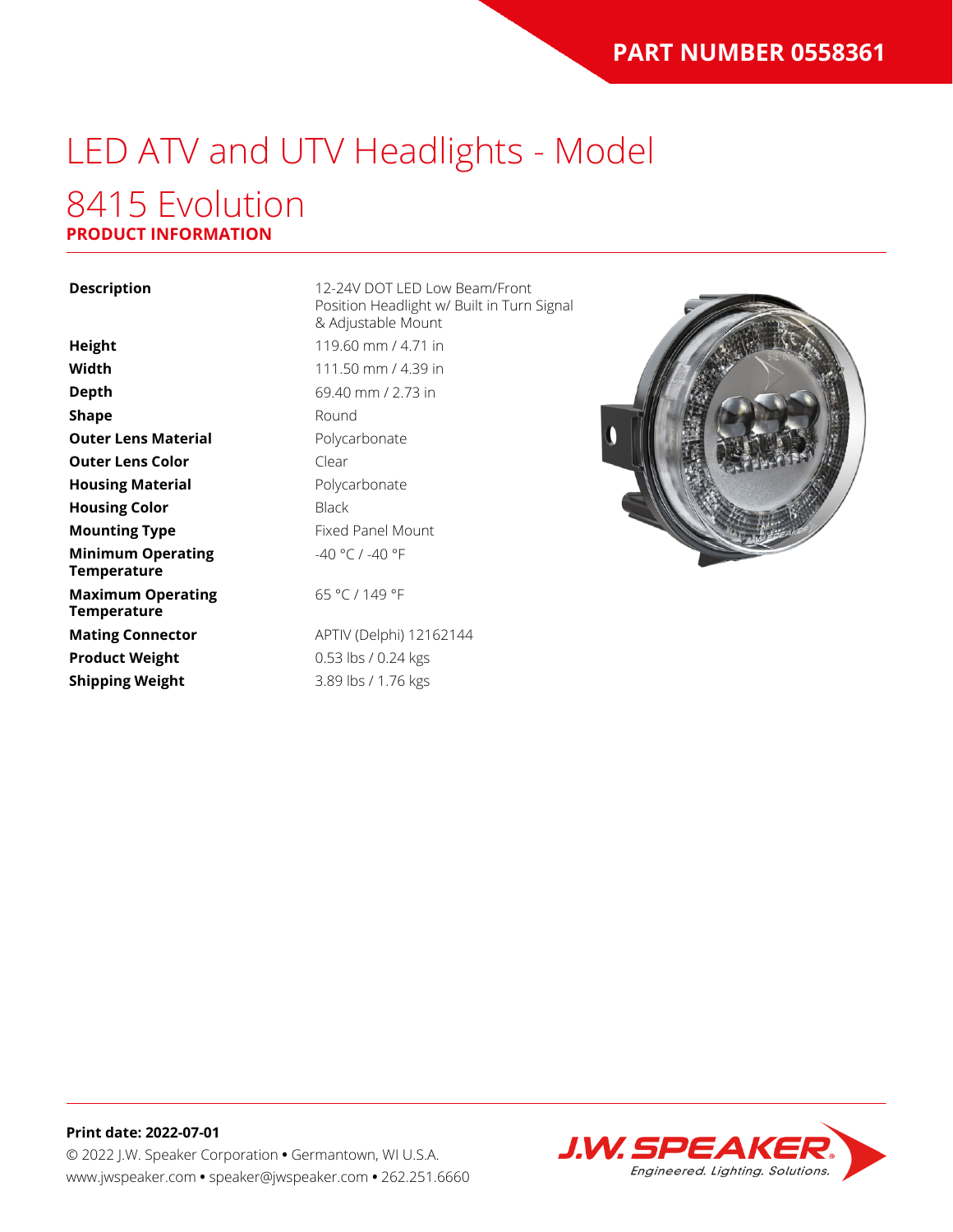# LED ATV and UTV Headlights - Model

### 8415 Evolution **PRODUCT INFORMATION**

**Description** 12-24V DOT LED Low Beam/Front Position Headlight w/ Built in Turn Signal & Adjustable Mount **Height** 119.60 mm / 4.71 in **Width** 111.50 mm / 4.39 in **Depth** 69.40 mm / 2.73 in **Round** Polycarbonate Clear Polycarbonate **Black Fixed Panel Mount** -40 °C / -40 °F

65 °C / 149 °F

**Mating Connector** APTIV (Delphi) 12162144 **Product Weight** 0.53 lbs / 0.24 kgs **Shipping Weight** 3.89 lbs / 1.76 kgs





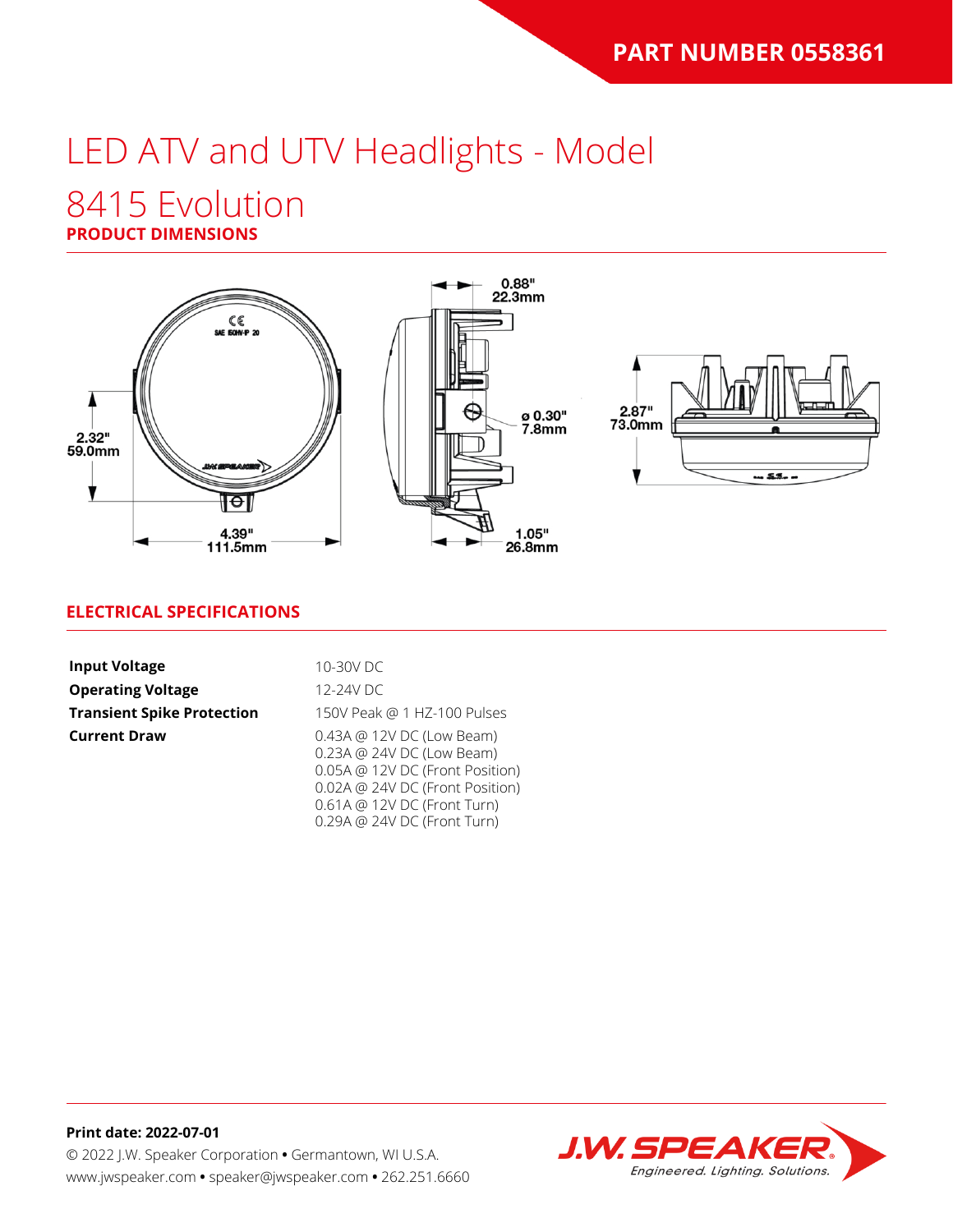# LED ATV and UTV Headlights - Model

### 8415 Evolution

### **PRODUCT DIMENSIONS**



#### **ELECTRICAL SPECIFICATIONS**

| <b>Input Voltage</b>              | 10-30V DC                                                                                                                                                                                  |
|-----------------------------------|--------------------------------------------------------------------------------------------------------------------------------------------------------------------------------------------|
| <b>Operating Voltage</b>          | 12-24V DC                                                                                                                                                                                  |
| <b>Transient Spike Protection</b> | 150V Peak @ 1 HZ-100 Pulses                                                                                                                                                                |
| <b>Current Draw</b>               | 0.43A @ 12V DC (Low Beam)<br>0.23A @ 24V DC (Low Beam)<br>0.05A @ 12V DC (Front Position)<br>0.02A @ 24V DC (Front Position)<br>0.61A @ 12V DC (Front Turn)<br>0.29A @ 24V DC (Front Turn) |

**Print date: 2022-07-01** © 2022 J.W. Speaker Corporation **•** Germantown, WI U.S.A. www.jwspeaker.com **•** speaker@jwspeaker.com **•** 262.251.6660